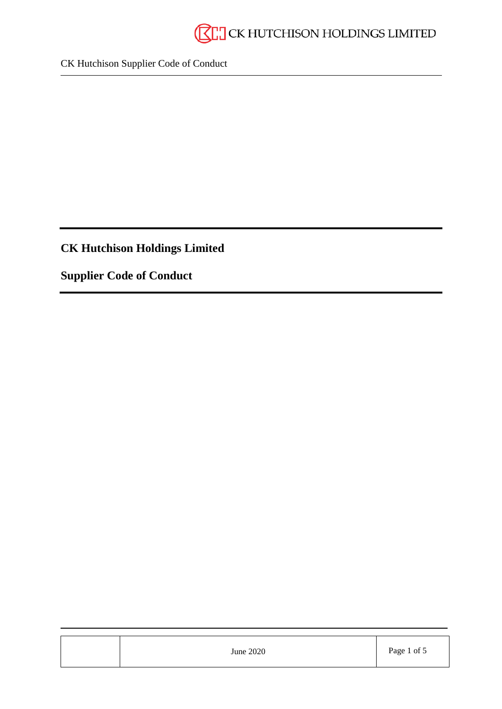

# **CK Hutchison Holdings Limited**

**Supplier Code of Conduct**

| June 2020 | Page 1 of 5 |
|-----------|-------------|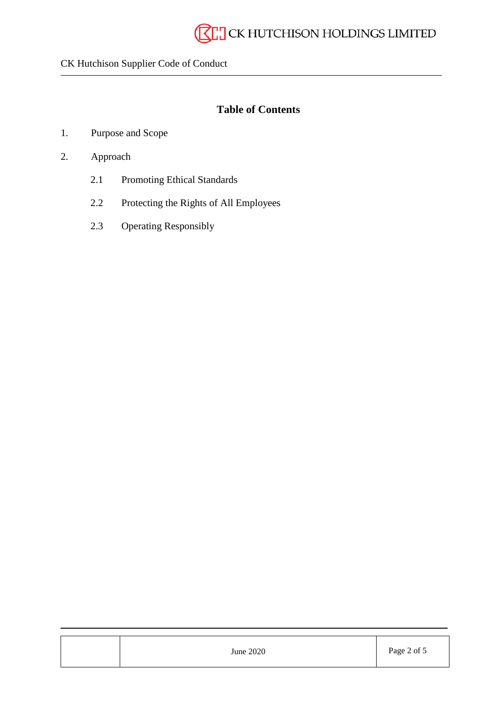# **Table of Contents**

- 1. Purpose and Scope
- 2. Approach
	- 2.1 Promoting Ethical Standards
	- 2.2 Protecting the Rights of All Employees
	- 2.3 Operating Responsibly

| June 2020 | Page 2 of 5 |
|-----------|-------------|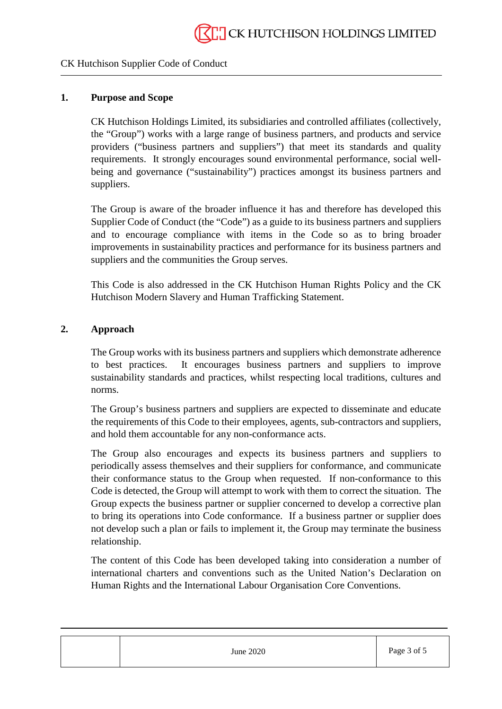#### **1. Purpose and Scope**

CK Hutchison Holdings Limited, its subsidiaries and controlled affiliates (collectively, the "Group") works with a large range of business partners, and products and service providers ("business partners and suppliers") that meet its standards and quality requirements. It strongly encourages sound environmental performance, social wellbeing and governance ("sustainability") practices amongst its business partners and suppliers.

The Group is aware of the broader influence it has and therefore has developed this Supplier Code of Conduct (the "Code") as a guide to its business partners and suppliers and to encourage compliance with items in the Code so as to bring broader improvements in sustainability practices and performance for its business partners and suppliers and the communities the Group serves.

This Code is also addressed in the CK Hutchison Human Rights Policy and the CK Hutchison Modern Slavery and Human Trafficking Statement.

#### **2. Approach**

The Group works with its business partners and suppliers which demonstrate adherence to best practices. It encourages business partners and suppliers to improve sustainability standards and practices, whilst respecting local traditions, cultures and norms.

The Group's business partners and suppliers are expected to disseminate and educate the requirements of this Code to their employees, agents, sub-contractors and suppliers, and hold them accountable for any non-conformance acts.

The Group also encourages and expects its business partners and suppliers to periodically assess themselves and their suppliers for conformance, and communicate their conformance status to the Group when requested. If non-conformance to this Code is detected, the Group will attempt to work with them to correct the situation. The Group expects the business partner or supplier concerned to develop a corrective plan to bring its operations into Code conformance. If a business partner or supplier does not develop such a plan or fails to implement it, the Group may terminate the business relationship.

The content of this Code has been developed taking into consideration a number of international charters and conventions such as the United Nation's Declaration on Human Rights and the International Labour Organisation Core Conventions.

| June 2020 | Page 3 of 5 |
|-----------|-------------|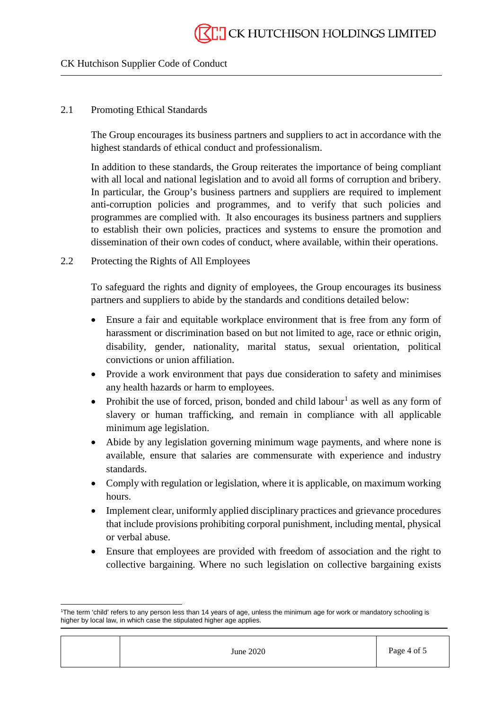#### 2.1 Promoting Ethical Standards

The Group encourages its business partners and suppliers to act in accordance with the highest standards of ethical conduct and professionalism.

In addition to these standards, the Group reiterates the importance of being compliant with all local and national legislation and to avoid all forms of corruption and bribery. In particular, the Group's business partners and suppliers are required to implement anti-corruption policies and programmes, and to verify that such policies and programmes are complied with. It also encourages its business partners and suppliers to establish their own policies, practices and systems to ensure the promotion and dissemination of their own codes of conduct, where available, within their operations.

#### 2.2 Protecting the Rights of All Employees

To safeguard the rights and dignity of employees, the Group encourages its business partners and suppliers to abide by the standards and conditions detailed below:

- Ensure a fair and equitable workplace environment that is free from any form of harassment or discrimination based on but not limited to age, race or ethnic origin, disability, gender, nationality, marital status, sexual orientation, political convictions or union affiliation.
- Provide a work environment that pays due consideration to safety and minimises any health hazards or harm to employees.
- Prohibit the use of forced, prison, bonded and child labour<sup>[1](#page-3-0)</sup> as well as any form of slavery or human trafficking, and remain in compliance with all applicable minimum age legislation.
- Abide by any legislation governing minimum wage payments, and where none is available, ensure that salaries are commensurate with experience and industry standards.
- Comply with regulation or legislation, where it is applicable, on maximum working hours.
- Implement clear, uniformly applied disciplinary practices and grievance procedures that include provisions prohibiting corporal punishment, including mental, physical or verbal abuse.
- Ensure that employees are provided with freedom of association and the right to collective bargaining. Where no such legislation on collective bargaining exists

June 2020 Page 4 of 5

<span id="page-3-0"></span> $\overline{a}$ 1 The term 'child' refers to any person less than 14 years of age, unless the minimum age for work or mandatory schooling is higher by local law, in which case the stipulated higher age applies.